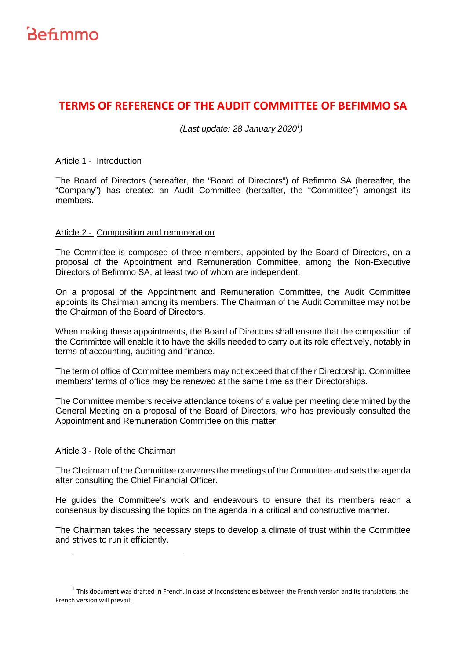

# **TERMS OF REFERENCE OF THE AUDIT COMMITTEE OF BEFIMMO SA**

 $(Last update: 28 January 2020<sup>1</sup>)$ 

### Article 1 - Introduction

The Board of Directors (hereafter, the "Board of Directors") of Befimmo SA (hereafter, the "Company") has created an Audit Committee (hereafter, the "Committee") amongst its members.

## Article 2 - Composition and remuneration

The Committee is composed of three members, appointed by the Board of Directors, on a proposal of the Appointment and Remuneration Committee, among the Non-Executive Directors of Befimmo SA, at least two of whom are independent.

On a proposal of the Appointment and Remuneration Committee, the Audit Committee appoints its Chairman among its members. The Chairman of the Audit Committee may not be the Chairman of the Board of Directors.

When making these appointments, the Board of Directors shall ensure that the composition of the Committee will enable it to have the skills needed to carry out its role effectively, notably in terms of accounting, auditing and finance.

The term of office of Committee members may not exceed that of their Directorship. Committee members' terms of office may be renewed at the same time as their Directorships.

The Committee members receive attendance tokens of a value per meeting determined by the General Meeting on a proposal of the Board of Directors, who has previously consulted the Appointment and Remuneration Committee on this matter.

### Article 3 - Role of the Chairman

The Chairman of the Committee convenes the meetings of the Committee and sets the agenda after consulting the Chief Financial Officer.

He guides the Committee's work and endeavours to ensure that its members reach a consensus by discussing the topics on the agenda in a critical and constructive manner.

The Chairman takes the necessary steps to develop a climate of trust within the Committee and strives to run it efficiently.

<sup>&</sup>lt;sup>1</sup> This document was drafted in French, in case of inconsistencies between the French version and its translations, the French version will prevail.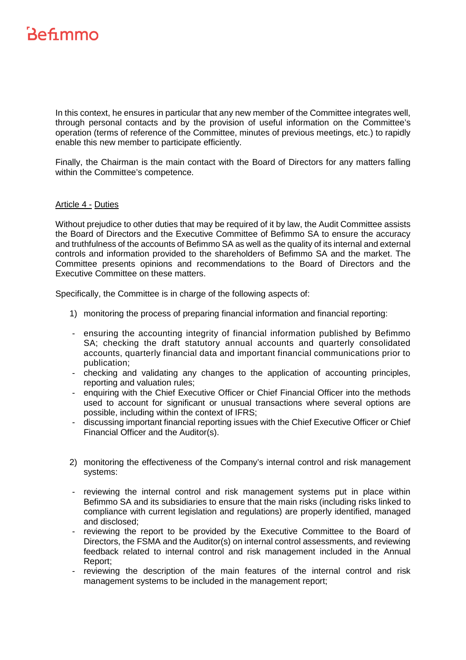# Befimmo

In this context, he ensures in particular that any new member of the Committee integrates well, through personal contacts and by the provision of useful information on the Committee's operation (terms of reference of the Committee, minutes of previous meetings, etc.) to rapidly enable this new member to participate efficiently.

Finally, the Chairman is the main contact with the Board of Directors for any matters falling within the Committee's competence.

## Article 4 - Duties

Without prejudice to other duties that may be required of it by law, the Audit Committee assists the Board of Directors and the Executive Committee of Befimmo SA to ensure the accuracy and truthfulness of the accounts of Befimmo SA as well as the quality of its internal and external controls and information provided to the shareholders of Befimmo SA and the market. The Committee presents opinions and recommendations to the Board of Directors and the Executive Committee on these matters.

Specifically, the Committee is in charge of the following aspects of:

- 1) monitoring the process of preparing financial information and financial reporting:
- ensuring the accounting integrity of financial information published by Befimmo SA; checking the draft statutory annual accounts and quarterly consolidated accounts, quarterly financial data and important financial communications prior to publication;
- checking and validating any changes to the application of accounting principles, reporting and valuation rules;
- enquiring with the Chief Executive Officer or Chief Financial Officer into the methods used to account for significant or unusual transactions where several options are possible, including within the context of IFRS;
- discussing important financial reporting issues with the Chief Executive Officer or Chief Financial Officer and the Auditor(s).
- 2) monitoring the effectiveness of the Company's internal control and risk management systems:
- reviewing the internal control and risk management systems put in place within Befimmo SA and its subsidiaries to ensure that the main risks (including risks linked to compliance with current legislation and regulations) are properly identified, managed and disclosed;
- reviewing the report to be provided by the Executive Committee to the Board of Directors, the FSMA and the Auditor(s) on internal control assessments, and reviewing feedback related to internal control and risk management included in the Annual Report;
- reviewing the description of the main features of the internal control and risk management systems to be included in the management report;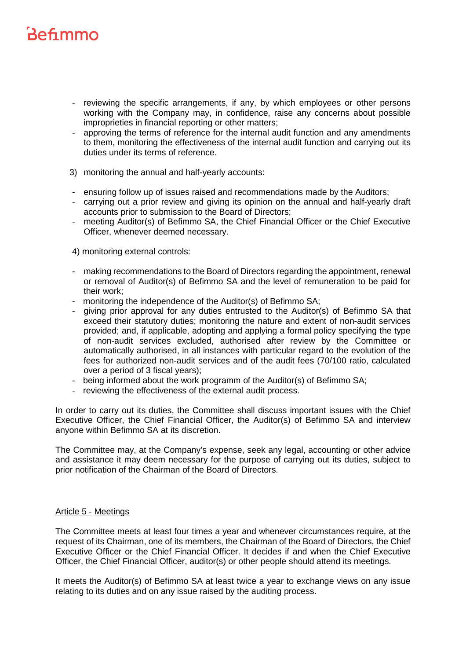# Befimmo

- reviewing the specific arrangements, if any, by which employees or other persons working with the Company may, in confidence, raise any concerns about possible improprieties in financial reporting or other matters;
- approving the terms of reference for the internal audit function and any amendments to them, monitoring the effectiveness of the internal audit function and carrying out its duties under its terms of reference.
- 3) monitoring the annual and half-yearly accounts:
- ensuring follow up of issues raised and recommendations made by the Auditors;
- carrying out a prior review and giving its opinion on the annual and half-yearly draft accounts prior to submission to the Board of Directors;
- meeting Auditor(s) of Befimmo SA, the Chief Financial Officer or the Chief Executive Officer, whenever deemed necessary.

4) monitoring external controls:

- making recommendations to the Board of Directors regarding the appointment, renewal or removal of Auditor(s) of Befimmo SA and the level of remuneration to be paid for their work;
- monitoring the independence of the Auditor(s) of Befimmo SA;
- giving prior approval for any duties entrusted to the Auditor(s) of Befimmo SA that exceed their statutory duties; monitoring the nature and extent of non-audit services provided; and, if applicable, adopting and applying a formal policy specifying the type of non-audit services excluded, authorised after review by the Committee or automatically authorised, in all instances with particular regard to the evolution of the fees for authorized non-audit services and of the audit fees (70/100 ratio, calculated over a period of 3 fiscal years);
- being informed about the work programm of the Auditor(s) of Befimmo SA;
- reviewing the effectiveness of the external audit process.

In order to carry out its duties, the Committee shall discuss important issues with the Chief Executive Officer, the Chief Financial Officer, the Auditor(s) of Befimmo SA and interview anyone within Befimmo SA at its discretion.

The Committee may, at the Company's expense, seek any legal, accounting or other advice and assistance it may deem necessary for the purpose of carrying out its duties, subject to prior notification of the Chairman of the Board of Directors.

# Article 5 - Meetings

The Committee meets at least four times a year and whenever circumstances require, at the request of its Chairman, one of its members, the Chairman of the Board of Directors, the Chief Executive Officer or the Chief Financial Officer. It decides if and when the Chief Executive Officer, the Chief Financial Officer, auditor(s) or other people should attend its meetings.

It meets the Auditor(s) of Befimmo SA at least twice a year to exchange views on any issue relating to its duties and on any issue raised by the auditing process.